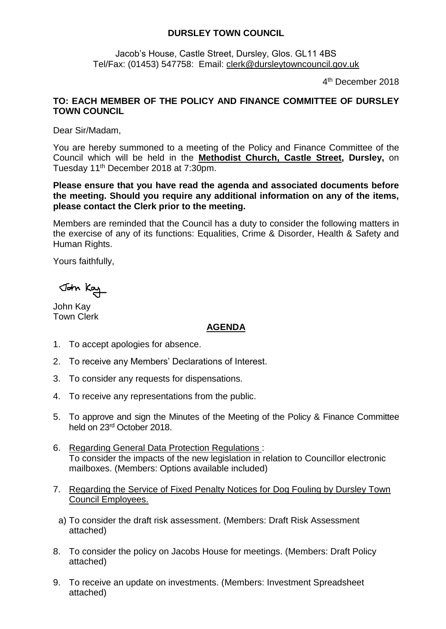## **DURSLEY TOWN COUNCIL**

Jacob's House, Castle Street, Dursley, Glos. GL11 4BS Tel/Fax: (01453) 547758: Email: [clerk@dursleytowncouncil.gov.uk](mailto:clerk@dursleytowncouncil.gov.uk)

4 th December 2018

## **TO: EACH MEMBER OF THE POLICY AND FINANCE COMMITTEE OF DURSLEY TOWN COUNCIL**

Dear Sir/Madam,

You are hereby summoned to a meeting of the Policy and Finance Committee of the Council which will be held in the **Methodist Church, Castle Street, Dursley,** on Tuesday 11th December 2018 at 7:30pm.

**Please ensure that you have read the agenda and associated documents before the meeting. Should you require any additional information on any of the items, please contact the Clerk prior to the meeting.** 

Members are reminded that the Council has a duty to consider the following matters in the exercise of any of its functions: Equalities, Crime & Disorder, Health & Safety and Human Rights.

Yours faithfully,

John Kay

John Kay Town Clerk

## **AGENDA**

- 1. To accept apologies for absence.
- 2. To receive any Members' Declarations of Interest.
- 3. To consider any requests for dispensations.
- 4. To receive any representations from the public.
- 5. To approve and sign the Minutes of the Meeting of the Policy & Finance Committee held on 23rd October 2018.
- 6. Regarding General Data Protection Regulations : To consider the impacts of the new legislation in relation to Councillor electronic mailboxes. (Members: Options available included)
- 7. Regarding the Service of Fixed Penalty Notices for Dog Fouling by Dursley Town Council Employees.
	- a) To consider the draft risk assessment. (Members: Draft Risk Assessment attached)
- 8. To consider the policy on Jacobs House for meetings. (Members: Draft Policy attached)
- 9. To receive an update on investments. (Members: Investment Spreadsheet attached)